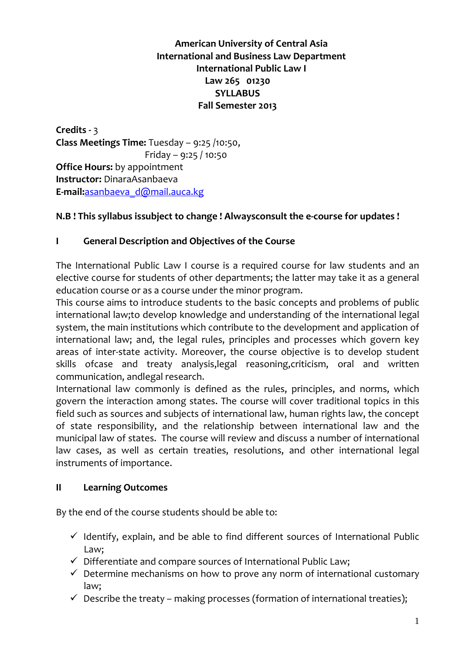# American University of Central Asia International and Business Law Department International Public Law I Law 265 01230 **SYLLABUS** Fall Semester 2013

Credits - 3 Class Meetings Time: Tuesday – 9:25 /10:50, Friday – 9:25 / 10:50 Office Hours: by appointment Instructor: DinaraAsanbaeva E-mail:asanbaeva\_d@mail.auca.kg

#### N.B ! This syllabus issubject to change ! Alwaysconsult the e-course for updates !

#### I General Description and Objectives of the Course

The International Public Law I course is a required course for law students and an elective course for students of other departments; the latter may take it as a general education course or as a course under the minor program.

This course aims to introduce students to the basic concepts and problems of public international law;to develop knowledge and understanding of the international legal system, the main institutions which contribute to the development and application of international law; and, the legal rules, principles and processes which govern key areas of inter-state activity. Moreover, the course objective is to develop student skills ofcase and treaty analysis,legal reasoning,criticism, oral and written communication, andlegal research.

International law commonly is defined as the rules, principles, and norms, which govern the interaction among states. The course will cover traditional topics in this field such as sources and subjects of international law, human rights law, the concept of state responsibility, and the relationship between international law and the municipal law of states. The course will review and discuss a number of international law cases, as well as certain treaties, resolutions, and other international legal instruments of importance.

#### II Learning Outcomes

By the end of the course students should be able to:

- $\checkmark$  Identify, explain, and be able to find different sources of International Public Law;
- $\checkmark$  Differentiate and compare sources of International Public Law;
- $\checkmark$  Determine mechanisms on how to prove any norm of international customary law;
- $\checkmark$  Describe the treaty making processes (formation of international treaties);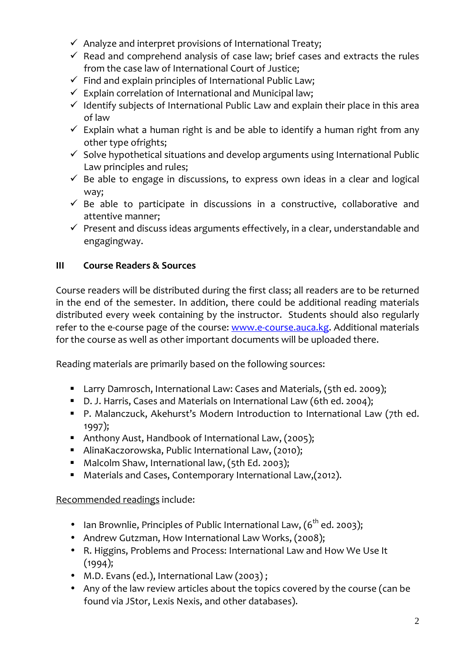- $\checkmark$  Analyze and interpret provisions of International Treaty;
- $\checkmark$  Read and comprehend analysis of case law; brief cases and extracts the rules from the case law of International Court of Justice;
- $\checkmark$  Find and explain principles of International Public Law;
- $\checkmark$  Explain correlation of International and Municipal law;
- $\checkmark$  Identify subjects of International Public Law and explain their place in this area of law
- $\checkmark$  Explain what a human right is and be able to identify a human right from any other type ofrights;
- $\checkmark$  Solve hypothetical situations and develop arguments using International Public Law principles and rules;
- $\checkmark$  Be able to engage in discussions, to express own ideas in a clear and logical way;
- $\checkmark$  Be able to participate in discussions in a constructive, collaborative and attentive manner;
- $\checkmark$  Present and discuss ideas arguments effectively, in a clear, understandable and engagingway.

# III Course Readers & Sources

Course readers will be distributed during the first class; all readers are to be returned in the end of the semester. In addition, there could be additional reading materials distributed every week containing by the instructor. Students should also regularly refer to the e-course page of the course: www.e-course.auca.kg. Additional materials for the course as well as other important documents will be uploaded there.

Reading materials are primarily based on the following sources:

- Larry Damrosch, International Law: Cases and Materials, (5th ed. 2009);
- D. J. Harris, Cases and Materials on International Law (6th ed. 2004);
- P. Malanczuck, Akehurst's Modern Introduction to International Law (7th ed. 1997);
- Anthony Aust, Handbook of International Law, (2005);
- AlinaKaczorowska, Public International Law, (2010);
- Malcolm Shaw, International law, (5th Ed. 2003);
- Materials and Cases, Contemporary International Law,(2012).

# Recommended readings include:

- Ian Brownlie, Principles of Public International Law,  $(6^{th}$  ed. 2003);
- Andrew Gutzman, How International Law Works, (2008);
- R. Higgins, Problems and Process: International Law and How We Use It (1994);
- M.D. Evans (ed.), International Law (2003) ;
- Any of the law review articles about the topics covered by the course (can be found via JStor, Lexis Nexis, and other databases).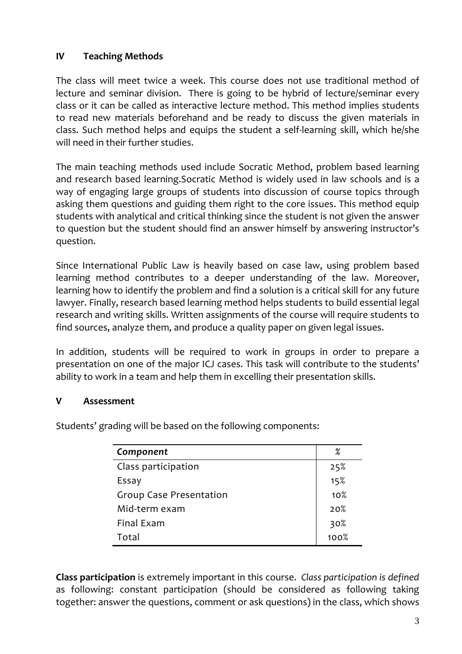# IV Teaching Methods

The class will meet twice a week. This course does not use traditional method of lecture and seminar division. There is going to be hybrid of lecture/seminar every class or it can be called as interactive lecture method. This method implies students to read new materials beforehand and be ready to discuss the given materials in class. Such method helps and equips the student a self-learning skill, which he/she will need in their further studies.

The main teaching methods used include Socratic Method, problem based learning and research based learning.Socratic Method is widely used in law schools and is a way of engaging large groups of students into discussion of course topics through asking them questions and guiding them right to the core issues. This method equip students with analytical and critical thinking since the student is not given the answer to question but the student should find an answer himself by answering instructor's question.

Since International Public Law is heavily based on case law, using problem based learning method contributes to a deeper understanding of the law. Moreover, learning how to identify the problem and find a solution is a critical skill for any future lawyer. Finally, research based learning method helps students to build essential legal research and writing skills. Written assignments of the course will require students to find sources, analyze them, and produce a quality paper on given legal issues.

In addition, students will be required to work in groups in order to prepare a presentation on one of the major ICJ cases. This task will contribute to the students' ability to work in a team and help them in excelling their presentation skills.

#### V Assessment

Students' grading will be based on the following components:

| Component                      | ℅               |
|--------------------------------|-----------------|
| Class participation            | 25%             |
| Essay                          | 15%             |
| <b>Group Case Presentation</b> | 10 <sub>8</sub> |
| Mid-term exam                  | 20%             |
| Final Exam                     | 30%<br>100%     |
| Total                          |                 |

Class participation is extremely important in this course. Class participation is defined as following: constant participation (should be considered as following taking together: answer the questions, comment or ask questions) in the class, which shows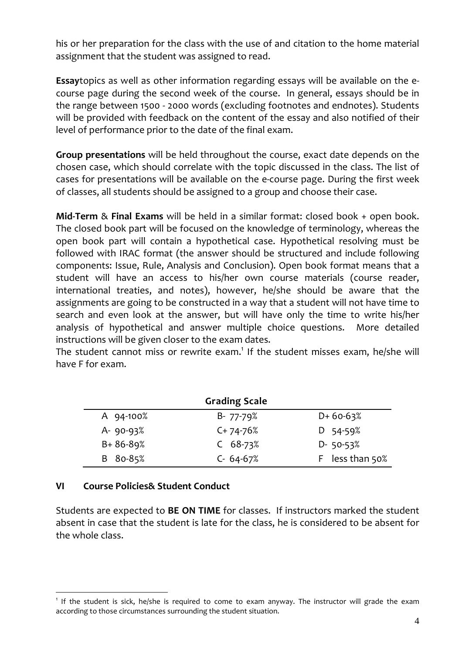his or her preparation for the class with the use of and citation to the home material assignment that the student was assigned to read.

Essaytopics as well as other information regarding essays will be available on the ecourse page during the second week of the course. In general, essays should be in the range between 1500 - 2000 words (excluding footnotes and endnotes). Students will be provided with feedback on the content of the essay and also notified of their level of performance prior to the date of the final exam.

Group presentations will be held throughout the course, exact date depends on the chosen case, which should correlate with the topic discussed in the class. The list of cases for presentations will be available on the e-course page. During the first week of classes, all students should be assigned to a group and choose their case.

Mid-Term & Final Exams will be held in a similar format: closed book + open book. The closed book part will be focused on the knowledge of terminology, whereas the open book part will contain a hypothetical case. Hypothetical resolving must be followed with IRAC format (the answer should be structured and include following components: Issue, Rule, Analysis and Conclusion). Open book format means that a student will have an access to his/her own course materials (course reader, international treaties, and notes), however, he/she should be aware that the assignments are going to be constructed in a way that a student will not have time to search and even look at the answer, but will have only the time to write his/her analysis of hypothetical and answer multiple choice questions. More detailed instructions will be given closer to the exam dates.

The student cannot miss or rewrite exam.<sup>1</sup> If the student misses exam, he/she will have F for exam.

|                | <b>Grading Scale</b> |                 |
|----------------|----------------------|-----------------|
| A 94-100%      | $B - 77 - 79%$       | $D+60-63%$      |
| $A - 90 - 93%$ | $C+74-76%$           | $D$ 54-59%      |
| $B + 86 - 89%$ | $C$ 68-73%           | $D - 50 - 53%$  |
| B 80-85%       | $C - 64 - 67%$       | F less than 50% |

#### VI Course Policies& Student Conduct

 $\overline{a}$ 

Students are expected to BE ON TIME for classes. If instructors marked the student absent in case that the student is late for the class, he is considered to be absent for the whole class.

<sup>&</sup>lt;sup>1</sup> If the student is sick, he/she is required to come to exam anyway. The instructor will grade the exam according to those circumstances surrounding the student situation.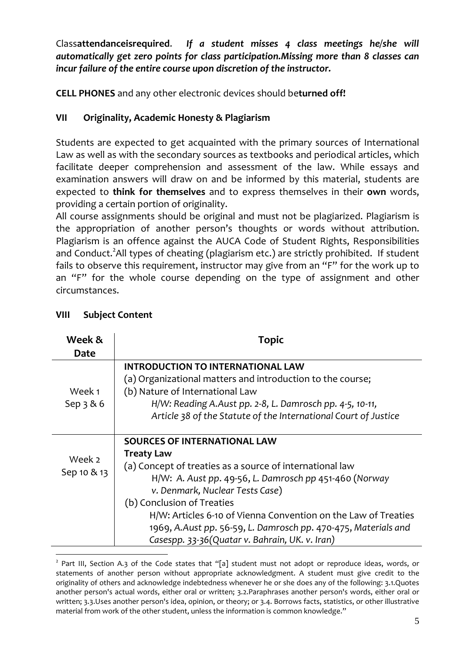Classattendanceisrequired. If a student misses 4 class meetings he/she will automatically get zero points for class participation.Missing more than 8 classes can incur failure of the entire course upon discretion of the instructor.

CELL PHONES and any other electronic devices should beturned off!

# VII Originality, Academic Honesty & Plagiarism

Students are expected to get acquainted with the primary sources of International Law as well as with the secondary sources as textbooks and periodical articles, which facilitate deeper comprehension and assessment of the law. While essays and examination answers will draw on and be informed by this material, students are expected to think for themselves and to express themselves in their own words, providing a certain portion of originality.

All course assignments should be original and must not be plagiarized. Plagiarism is the appropriation of another person's thoughts or words without attribution. Plagiarism is an offence against the AUCA Code of Student Rights, Responsibilities and Conduct.<sup>2</sup>All types of cheating (plagiarism etc.) are strictly prohibited. If student fails to observe this requirement, instructor may give from an "F" for the work up to an "F" for the whole course depending on the type of assignment and other circumstances.

| Week &      | Topic                                                           |
|-------------|-----------------------------------------------------------------|
| Date        |                                                                 |
|             | <b>INTRODUCTION TO INTERNATIONAL LAW</b>                        |
|             | (a) Organizational matters and introduction to the course;      |
| Week 1      | (b) Nature of International Law                                 |
| Sep $3 & 6$ | H/W: Reading A.Aust pp. 2-8, L. Damrosch pp. 4-5, 10-11,        |
|             | Article 38 of the Statute of the International Court of Justice |
|             |                                                                 |
|             | <b>SOURCES OF INTERNATIONAL LAW</b>                             |
| Week 2      | <b>Treaty Law</b>                                               |
| Sep 10 & 13 | (a) Concept of treaties as a source of international law        |
|             | H/W: A. Aust pp. 49-56, L. Damrosch pp 451-460 (Norway          |
|             | v. Denmark, Nuclear Tests Case)                                 |
|             | (b) Conclusion of Treaties                                      |
|             | H/W: Articles 6-10 of Vienna Convention on the Law of Treaties  |
|             | 1969, A.Aust pp. 56-59, L. Damrosch pp. 470-475, Materials and  |
|             | Casespp. 33-36(Quatar v. Bahrain, UK. v. Iran)                  |
|             |                                                                 |

# VIII Subject Content

<sup>&</sup>lt;sup>2</sup> Part III, Section A.3 of the Code states that "[a] student must not adopt or reproduce ideas, words, or statements of another person without appropriate acknowledgment. A student must give credit to the originality of others and acknowledge indebtedness whenever he or she does any of the following: 3.1.Quotes another person's actual words, either oral or written; 3.2.Paraphrases another person's words, either oral or written; 3.3.Uses another person's idea, opinion, or theory; or 3.4. Borrows facts, statistics, or other illustrative material from work of the other student, unless the information is common knowledge."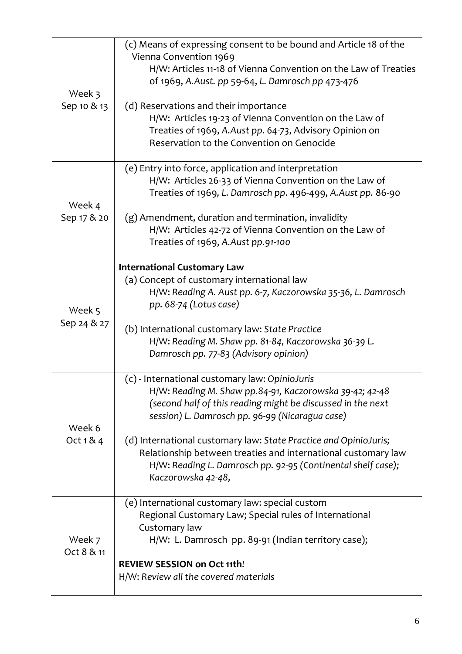| Week 3<br>Sep 10 & 13 | (c) Means of expressing consent to be bound and Article 18 of the<br>Vienna Convention 1969<br>H/W: Articles 11-18 of Vienna Convention on the Law of Treaties<br>of 1969, A.Aust. pp 59-64, L. Damrosch pp 473-476<br>(d) Reservations and their importance<br>H/W: Articles 19-23 of Vienna Convention on the Law of<br>Treaties of 1969, A.Aust pp. 64-73, Advisory Opinion on<br>Reservation to the Convention on Genocide                         |
|-----------------------|--------------------------------------------------------------------------------------------------------------------------------------------------------------------------------------------------------------------------------------------------------------------------------------------------------------------------------------------------------------------------------------------------------------------------------------------------------|
| Week 4<br>Sep 17 & 20 | (e) Entry into force, application and interpretation<br>H/W: Articles 26-33 of Vienna Convention on the Law of<br>Treaties of 1969, L. Damrosch pp. 496-499, A.Aust pp. 86-90<br>(g) Amendment, duration and termination, invalidity<br>H/W: Articles 42-72 of Vienna Convention on the Law of<br>Treaties of 1969, A.Aust pp.91-100                                                                                                                   |
| Week 5<br>Sep 24 & 27 | <b>International Customary Law</b><br>(a) Concept of customary international law<br>H/W: Reading A. Aust pp. 6-7, Kaczorowska 35-36, L. Damrosch<br>pp. 68-74 (Lotus case)<br>(b) International customary law: State Practice<br>H/W: Reading M. Shaw pp. 81-84, Kaczorowska 36-39 L.<br>Damrosch pp. 77-83 (Advisory opinion)                                                                                                                         |
| Week 6<br>Oct $184$   | (c) - International customary law: OpinioJuris<br>H/W: Reading M. Shaw pp.84-91, Kaczorowska 39-42; 42-48<br>(second half of this reading might be discussed in the next<br>session) L. Damrosch pp. 96-99 (Nicaragua case)<br>(d) International customary law: State Practice and OpinioJuris;<br>Relationship between treaties and international customary law<br>H/W: Reading L. Damrosch pp. 92-95 (Continental shelf case);<br>Kaczorowska 42-48, |
| Week 7<br>Oct 8 & 11  | (e) International customary law: special custom<br>Regional Customary Law; Special rules of International<br>Customary law<br>H/W: L. Damrosch pp. 89-91 (Indian territory case);<br><b>REVIEW SESSION on Oct 11th!</b><br>H/W: Review all the covered materials                                                                                                                                                                                       |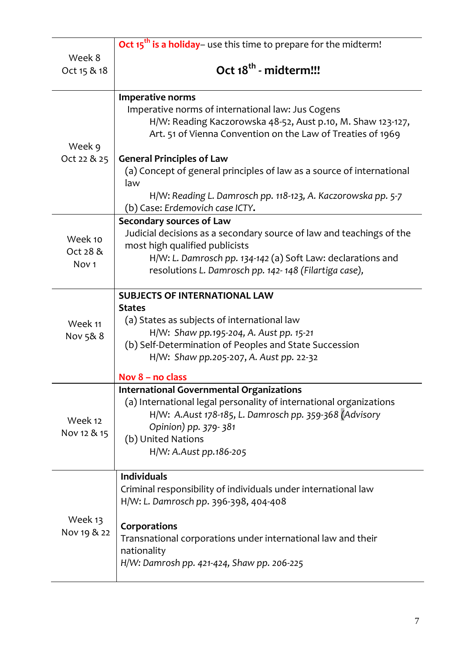|                                         | Oct 15 <sup>th</sup> is a holiday– use this time to prepare for the midterm!                                                                                                                                                                                                                                                                                                                                                      |
|-----------------------------------------|-----------------------------------------------------------------------------------------------------------------------------------------------------------------------------------------------------------------------------------------------------------------------------------------------------------------------------------------------------------------------------------------------------------------------------------|
| Week 8<br>Oct 15 & 18                   | Oct 18 <sup>th</sup> - midterm!!!                                                                                                                                                                                                                                                                                                                                                                                                 |
| Week 9<br>Oct 22 & 25                   | <b>Imperative norms</b><br>Imperative norms of international law: Jus Cogens<br>H/W: Reading Kaczorowska 48-52, Aust p.10, M. Shaw 123-127,<br>Art. 51 of Vienna Convention on the Law of Treaties of 1969<br><b>General Principles of Law</b><br>(a) Concept of general principles of law as a source of international<br>law<br>H/W: Reading L. Damrosch pp. 118-123, A. Kaczorowska pp. 5-7<br>(b) Case: Erdemovich case ICTY. |
| Week 10<br>Oct 28 &<br>Nov <sub>1</sub> | <b>Secondary sources of Law</b><br>Judicial decisions as a secondary source of law and teachings of the<br>most high qualified publicists<br>H/W: L. Damrosch pp. 134-142 (a) Soft Law: declarations and<br>resolutions L. Damrosch pp. 142-148 (Filartiga case),                                                                                                                                                                 |
| Week 11<br>Nov 5& 8                     | <b>SUBJECTS OF INTERNATIONAL LAW</b><br><b>States</b><br>(a) States as subjects of international law<br>H/W: Shaw pp.195-204, A. Aust pp. 15-21<br>(b) Self-Determination of Peoples and State Succession<br>H/W: Shaw pp.205-207, A. Aust pp. 22-32<br>Nov 8 - no class                                                                                                                                                          |
| Week 12<br>Nov 12 & 15                  | <b>International Governmental Organizations</b><br>(a) International legal personality of international organizations<br>H/W: A.Aust 178-185, L. Damrosch pp. 359-368 (Advisory<br>Opinion) pp. 379-381<br>(b) United Nations<br>H/W: A.Aust pp.186-205                                                                                                                                                                           |
| Week 13<br>Nov 19 & 22                  | <b>Individuals</b><br>Criminal responsibility of individuals under international law<br>H/W: L. Damrosch pp. 396-398, 404-408<br>Corporations<br>Transnational corporations under international law and their<br>nationality<br>H/W: Damrosh pp. 421-424, Shaw pp. 206-225                                                                                                                                                        |